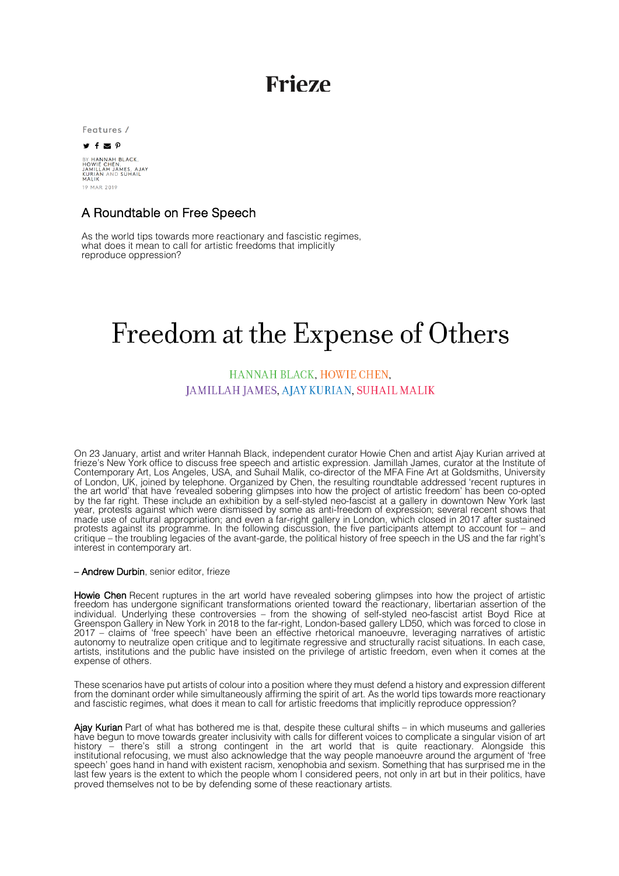# **Frieze**

Features /

#### $\mathbf{y}$  f  $\mathbf{z}$   $\varphi$

BY HANNAH BLACK,<br>HOWIE CHEN,<br>JAMILLAH JAMES, AJAY<br>KURIAN AND SUHAIL<br>MALIK 19 MAR 2019

### A Roundtable on Free Speech

As the world tips towards more reactionary and fascistic regimes, what does it mean to call for artistic freedoms that implicitly reproduce oppression?

# Freedom at the Expense of Others

## HANNAH BLACK, HOWIE CHEN. JAMILLAH JAMES, AJAY KURIAN, SUHAIL MALIK

On 23 January, artist and writer Hannah Black, independent curator Howie Chen and artist Ajay Kurian arrived at frieze's New York office to discuss free speech and artistic expression. Jamillah James, curator at the Institute of Contemporary Art, Los Angeles, USA, and Suhail Malik, co-director of the MFA Fine Art at Goldsmiths, University of London, UK, joined by telephone. Organized by Chen, the resulting roundtable addressed 'recent ruptures in the art world' that have 'revealed sobering glimpses into how the project of artistic freedom' has been co-opted by the far right. These include an exhibition by a self-styled neo-fascist at a gallery in downtown New York last year, protests against which were dismissed by some as anti-freedom of expression; several recent shows that made use of cultural appropriation; and even a far-right gallery in London, which closed in 2017 after sustained protests against its programme. In the following discussion, the five participants attempt to account for – and critique – the troubling legacies of the avant-garde, the political history of free speech in the US and the far right's interest in contemporary art.

### – Andrew Durbin, senior editor, frieze

Howie Chen Recent ruptures in the art world have revealed sobering glimpses into how the project of artistic freedom has undergone significant transformations oriented toward the reactionary, libertarian assertion of the individual. Underlying these controversies – from the showing of self-styled neo-fascist artist Boyd Rice at Greenspon Gallery in New York in 2018 to the far-right, London-based gallery LD50, which was forced to close in 2017 – claims of 'free speech' have been an effective rhetorical manoeuvre, leveraging narratives of artistic autonomy to neutralize open critique and to legitimate regressive and structurally racist situations. In each case, artists, institutions and the public have insisted on the privilege of artistic freedom, even when it comes at the expense of others.

These scenarios have put artists of colour into a position where they must defend a history and expression different from the dominant order while simultaneously affirming the spirit of art. As the world tips towards more reactionary and fascistic regimes, what does it mean to call for artistic freedoms that implicitly reproduce oppression?

Ajay Kurian Part of what has bothered me is that, despite these cultural shifts – in which museums and galleries have begun to move towards greater inclusivity with calls for different voices to complicate a singular vision of art history – there's still a strong contingent in the art world that is quite reactionary. Alongside this institutional refocusing, we must also acknowledge that the way people manoeuvre around the argument of 'free speech' goes hand in hand with existent racism, xenophobia and sexism. Something that has surprised me in the last few years is the extent to which the people whom I considered peers, not only in art but in their politics, have proved themselves not to be by defending some of these reactionary artists.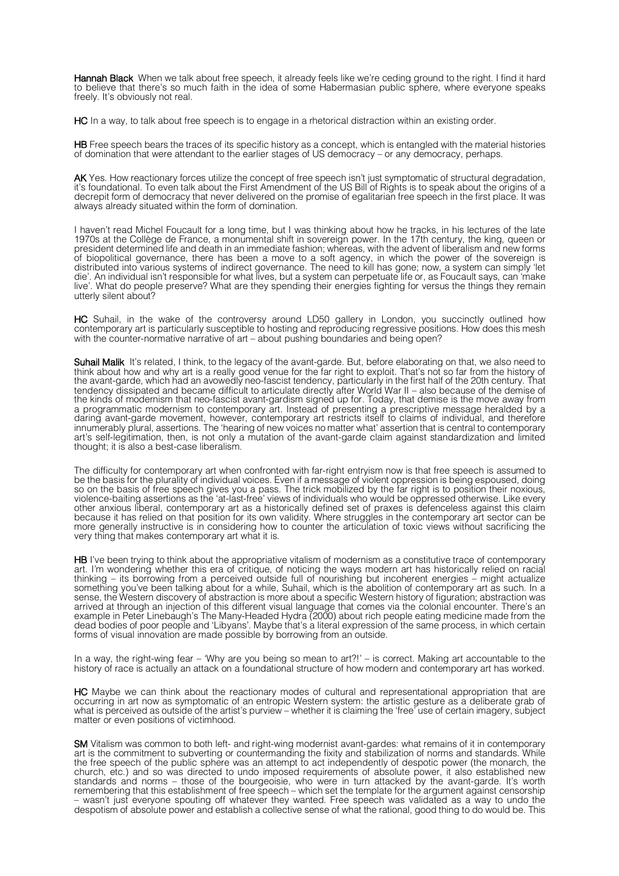Hannah Black When we talk about free speech, it already feels like we're ceding ground to the right. I find it hard to believe that there's so much faith in the idea of some Habermasian public sphere, where everyone speaks freely. It's obviously not real.

HC In a way, to talk about free speech is to engage in a rhetorical distraction within an existing order.

HB Free speech bears the traces of its specific history as a concept, which is entangled with the material histories of domination that were attendant to the earlier stages of US democracy – or any democracy, perhaps.

**AK** Yes. How reactionary forces utilize the concept of free speech isn't just symptomatic of structural degradation, it's foundational. To even talk about the First Amendment of the US Bill of Rights is to speak about the origins of a decrepit form of democracy that never delivered on the promise of egalitarian free speech in the first place. It was always already situated within the form of domination.

I haven't read Michel Foucault for a long time, but I was thinking about how he tracks, in his lectures of the late 1970s at the Collège de France, a monumental shift in sovereign power. In the 17th century, the king, queen or president determined life and death in an immediate fashion; whereas, with the advent of liberalism and new forms of biopolitical governance, there has been a move to a soft agency, in which the power of the sovereign is distributed into various systems of indirect governance. The need to kill has gone; now, a system can simply 'let die'. An individual isn't responsible for what lives, but a system can perpetuate life or, as Foucault says, can 'make live'. What do people preserve? What are they spending their energies fighting for versus the things they remain utterly silent about?

HC Suhail, in the wake of the controversy around LD50 gallery in London, you succinctly outlined how contemporary art is particularly susceptible to hosting and reproducing regressive positions. How does this mesh with the counter-normative narrative of art – about pushing boundaries and being open?

Suhail Malik It's related. I think, to the legacy of the avant-garde. But, before elaborating on that, we also need to think about how and why art is a really good venue for the far right to exploit. That's not so far from the history of the avant-garde, which had an avowedly neo-fascist tendency, particularly in the first half of the 20th century. That tendency dissipated and became difficult to articulate directly after World War II – also because of the demise of the kinds of modernism that neo-fascist avant-gardism signed up for. Today, that demise is the move away from a programmatic modernism to contemporary art. Instead of presenting a prescriptive message heralded by a daring avant-garde movement, however, contemporary art restricts itself to claims of individual, and therefore innumerably plural, assertions. The 'hearing of new voices no matter what' assertion that is central to contemporary art's self-legitimation, then, is not only a mutation of the avant-garde claim against standardization and limited thought; it is also a best-case liberalism.

The difficulty for contemporary art when confronted with far-right entryism now is that free speech is assumed to be the basis for the plurality of individual voices. Even if a message of violent oppression is being espoused, doing so on the basis of free speech gives you a pass. The trick mobilized by the far right is to position their noxious, violence-baiting assertions as the 'at-last-free' views of individuals who would be oppressed otherwise. Like every other anxious liberal, contemporary art as a historically defined set of praxes is defenceless against this claim because it has relied on that position for its own validity. Where struggles in the contemporary art sector can be more generally instructive is in considering how to counter the articulation of toxic views without sacrificing the very thing that makes contemporary art what it is.

HB I've been trying to think about the appropriative vitalism of modernism as a constitutive trace of contemporary art. I'm wondering whether this era of critique, of noticing the ways modern art has historically relied on racial thinking – its borrowing from a perceived outside full of nourishing but incoherent energies – might actualize something you've been talking about for a while, Suhail, which is the abolition of contemporary art as such. In a sense, the Western discovery of abstraction is more about a specific Western history of figuration; abstraction was arrived at through an injection of this different visual language that comes via the colonial encounter. There's an example in Peter Linebaugh's The Many-Headed Hydra (2000) about rich people eating medicine made from the dead bodies of poor people and 'Libyans'. Maybe that's a literal expression of the same process, in which certain forms of visual innovation are made possible by borrowing from an outside.

In a way, the right-wing fear – 'Why are you being so mean to art?!' – is correct. Making art accountable to the history of race is actually an attack on a foundational structure of how modern and contemporary art has worked.

HC Maybe we can think about the reactionary modes of cultural and representational appropriation that are occurring in art now as symptomatic of an entropic Western system: the artistic gesture as a deliberate grab of what is perceived as outside of the artist's purview – whether it is claiming the 'free' use of certain imagery, subject matter or even positions of victimhood.

SM Vitalism was common to both left- and right-wing modernist avant-gardes: what remains of it in contemporary art is the commitment to subverting or countermanding the fixity and stabilization of norms and standards. While the free speech of the public sphere was an attempt to act independently of despotic power (the monarch, the church, etc.) and so was directed to undo imposed requirements of absolute power, it also established new standards and norms – those of the bourgeoisie, who were in turn attacked by the avant-garde. It's worth remembering that this establishment of free speech – which set the template for the argument against censorship<br>– wasn't just everyone spouting off whatever they wanted. Free speech was validated as a way to undo the despotism of absolute power and establish a collective sense of what the rational, good thing to do would be. This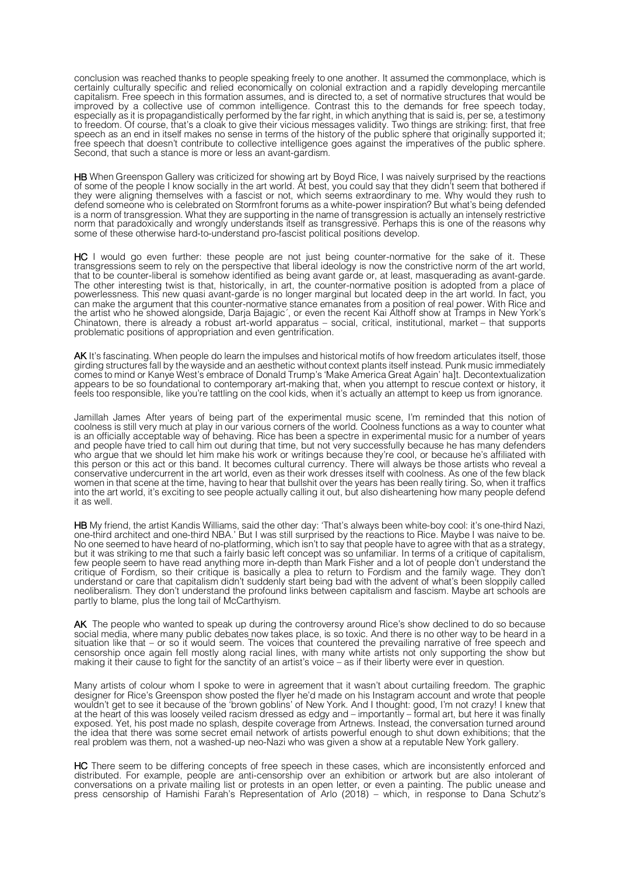conclusion was reached thanks to people speaking freely to one another. It assumed the commonplace, which is certainly culturally specific and relied economically on colonial extraction and a rapidly developing mercantile capitalism. Free speech in this formation assumes, and is directed to, a set of normative structures that would be improved by a collective use of common intelligence. Contrast this to the demands for free speech today, especially as it is propagandistically performed by the far right, in which anything that is said is, per se, a testimony to freedom. Of course, that's a cloak to give their vicious messages validity. Two things are striking: first, that free speech as an end in itself makes no sense in terms of the history of the public sphere that originally supported it; free speech that doesn't contribute to collective intelligence goes against the imperatives of the public sphere. Second, that such a stance is more or less an avant-gardism.

HB When Greenspon Gallery was criticized for showing art by Boyd Rice, I was naively surprised by the reactions of some of the people I know socially in the art world. At best, you could say that they didn't seem that bothered if they were aligning themselves with a fascist or not, which seems extraordinary to me. Why would they rush to defend someone who is celebrated on Stormfront forums as a white-power inspiration? But what's being defended is a norm of transgression. What they are supporting in the name of transgression is actually an intensely restrictive norm that paradoxically and wrongly understands itself as transgressive. Perhaps this is one of the reasons why some of these otherwise hard-to-understand pro-fascist political positions develop.

HC I would go even further: these people are not just being counter-normative for the sake of it. These transgressions seem to rely on the perspective that liberal ideology is now the constrictive norm of the art world, that to be counter-liberal is somehow identified as being avant garde or, at least, masquerading as avant-garde. The other interesting twist is that, historically, in art, the counter-normative position is adopted from a place of powerlessness. This new quasi avant-garde is no longer marginal but located deep in the art world. In fact, you can make the argument that this counter-normative stance emanates from a position of real power. With Rice and the artist who he showed alongside, Darja Bajagic´, or even the recent Kai Althoff show at Tramps in New York's Chinatown, there is already a robust art-world apparatus – social, critical, institutional, market – that supports problematic positions of appropriation and even gentrification.

AK It's fascinating. When people do learn the impulses and historical motifs of how freedom articulates itself, those girding structures fall by the wayside and an aesthetic without context plants itself instead. Punk music immediately comes to mind or Kanye West's embrace of Donald Trump's 'Make America Great Again' ha]t. Decontextualization appears to be so foundational to contemporary art-making that, when you attempt to rescue context or history, it feels too responsible, like you're tattling on the cool kids, when it's actually an attempt to keep us from ignorance.

Jamillah James After years of being part of the experimental music scene, I'm reminded that this notion of coolness is still very much at play in our various corners of the world. Coolness functions as a way to counter what is an officially acceptable way of behaving. Rice has been a spectre in experimental music for a number of years and people have tried to call him out during that time, but not very successfully because he has many defenders who argue that we should let him make his work or writings because they're cool, or because he's affiliated with this person or this act or this band. It becomes cultural currency. There will always be those artists who reveal a conservative undercurrent in the art world, even as their work dresses itself with coolness. As one of the few black women in that scene at the time, having to hear that bullshit over the years has been really tiring. So, when it traffics into the art world, it's exciting to see people actually calling it out, but also disheartening how many people defend it as well.

HB My friend, the artist Kandis Williams, said the other day: 'That's always been white-boy cool: it's one-third Nazi, one-third architect and one-third NBA.' But I was still surprised by the reactions to Rice. Maybe I was naive to be. No one seemed to have heard of no-platforming, which isn't to say that people have to agree with that as a strategy, but it was striking to me that such a fairly basic left concept was so unfamiliar. In terms of a critique of capitalism, few people seem to have read anything more in-depth than Mark Fisher and a lot of people don't understand the critique of Fordism, so their critique is basically a plea to return to Fordism and the family wage. They don't understand or care that capitalism didn't suddenly start being bad with the advent of what's been sloppily called neoliberalism. They don't understand the profound links between capitalism and fascism. Maybe art schools are partly to blame, plus the long tail of McCarthyism.

AK The people who wanted to speak up during the controversy around Rice's show declined to do so because social media, where many public debates now takes place, is so toxic. And there is no other way to be heard in a situation like that – or so it would seem. The voices that countered the prevailing narrative of free speech and censorship once again fell mostly along racial lines, with many white artists not only supporting the show but making it their cause to fight for the sanctity of an artist's voice – as if their liberty were ever in question.

Many artists of colour whom I spoke to were in agreement that it wasn't about curtailing freedom. The graphic designer for Rice's Greenspon show posted the flyer he'd made on his Instagram account and wrote that people wouldn't get to see it because of the 'brown goblins' of New York. And I thought: good, I'm not crazy! I knew that at the heart of this was loosely veiled racism dressed as edgy and – importantly – formal art, but here it was finally exposed. Yet, his post made no splash, despite coverage from Artnews. Instead, the conversation turned around the idea that there was some secret email network of artists powerful enough to shut down exhibitions; that the real problem was them, not a washed-up neo-Nazi who was given a show at a reputable New York gallery.

HC There seem to be differing concepts of free speech in these cases, which are inconsistently enforced and distributed. For example, people are anti-censorship over an exhibition or artwork but are also intolerant of conversations on a private mailing list or protests in an open letter, or even a painting. The public unease and press censorship of Hamishi Farah's Representation of Arlo (2018) – which, in response to Dana Schutz's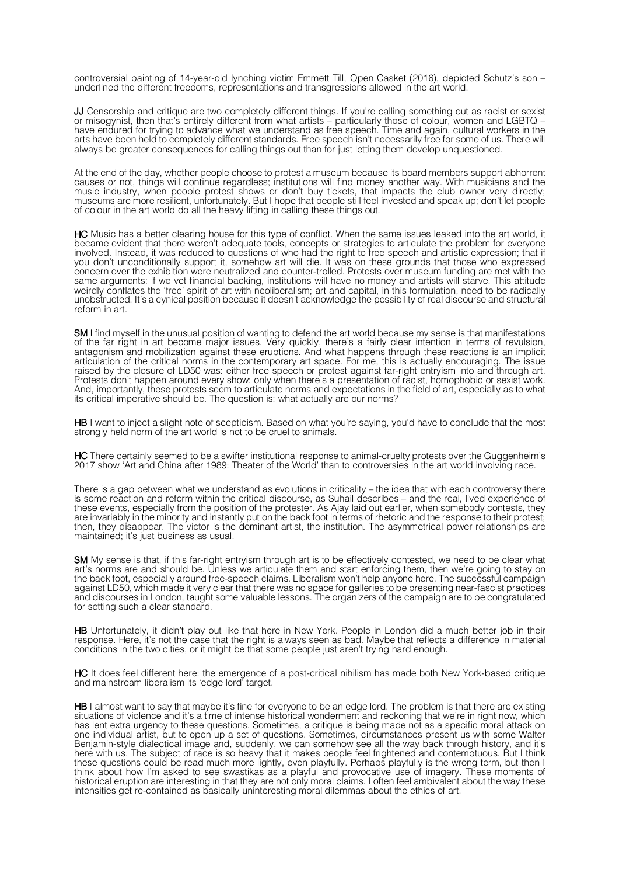controversial painting of 14-year-old lynching victim Emmett Till, Open Casket (2016), depicted Schutz's son – underlined the different freedoms, representations and transgressions allowed in the art world.

JJ Censorship and critique are two completely different things. If you're calling something out as racist or sexist or misogynist, then that's entirely different from what artists – particularly those of colour, women and or missgymet, then that's entirely different from what artists – particularly those of colour, women and LGBTQ<br>have endured for trying to advance what we understand as free speech. Time and again, cultural workers in the arts have been held to completely different standards. Free speech isn't necessarily free for some of us. There will always be greater consequences for calling things out than for just letting them develop unquestioned.

At the end of the day, whether people choose to protest a museum because its board members support abhorrent causes or not, things will continue regardless; institutions will find money another way. With musicians and the music industry, when people protest shows or don't buy tickets, that impacts the club owner very directly; museums are more resilient, unfortunately. But I hope that people still feel invested and speak up; don't let people of colour in the art world do all the heavy lifting in calling these things out.

HC Music has a better clearing house for this type of conflict. When the same issues leaked into the art world, it became evident that there weren't adequate tools, concepts or strategies to articulate the problem for everyone involved. Instead, it was reduced to questions of who had the right to free speech and artistic expression; that if you don't unconditionally support it, somehow art will die. It was on these grounds that those who expressed concern over the exhibition were neutralized and counter-trolled. Protests over museum funding are met with the same arguments: if we vet financial backing, institutions will have no money and artists will starve. This attitude weirdly conflates the 'free' spirit of art with neoliberalism; art and capital, in this formulation, need to be radically unobstructed. It's a cynical position because it doesn't acknowledge the possibility of real discourse and structural reform in art.

SM I find myself in the unusual position of wanting to defend the art world because my sense is that manifestations of the far right in art become major issues. Very quickly, there's a fairly clear intention in terms of revulsion, antagonism and mobilization against these eruptions. And what happens through these reactions is an implicit articulation of the critical norms in the contemporary art space. For me, this is actually encouraging. The issue raised by the closure of LD50 was: either free speech or protest against far-right entryism into and through art. Protests don't happen around every show: only when there's a presentation of racist, homophobic or sexist work. And, importantly, these protests seem to articulate norms and expectations in the field of art, especially as to what its critical imperative should be. The question is: what actually are our norms?

HB I want to inject a slight note of scepticism. Based on what you're saying, you'd have to conclude that the most strongly held norm of the art world is not to be cruel to animals.

**HC** There certainly seemed to be a swifter institutional response to animal-cruelty protests over the Guggenheim's 2017 show 'Art and China after 1989: Theater of the World' than to controversies in the art world involving race.

There is a gap between what we understand as evolutions in criticality – the idea that with each controversy there is some reaction and reform within the critical discourse, as Suhail describes – and the real, lived experience of these events, especially from the position of the protester. As Ajay laid out earlier, when somebody contests, they are invariably in the minority and instantly put on the back foot in terms of rhetoric and the response to their protest; then, they disappear. The victor is the dominant artist, the institution. The asymmetrical power relationships are maintained; it's just business as usual.

SM My sense is that, if this far-right entryism through art is to be effectively contested, we need to be clear what art's norms are and should be. Unless we articulate them and start enforcing them, then we're going to stay on the back foot, especially around free-speech claims. Liberalism won't help anyone here. The successful campaign against LD50, which made it very clear that there was no space for galleries to be presenting near-fascist practices and discourses in London, taught some valuable lessons. The organizers of the campaign are to be congratulated for setting such a clear standard.

HB Unfortunately, it didn't play out like that here in New York. People in London did a much better job in their response. Here, it's not the case that the right is always seen as bad. Maybe that reflects a difference in material conditions in the two cities, or it might be that some people just aren't trying hard enough.

HC It does feel different here: the emergence of a post-critical nihilism has made both New York-based critique and mainstream liberalism its 'edge lord' target.

HB I almost want to say that maybe it's fine for everyone to be an edge lord. The problem is that there are existing situations of violence and it's a time of intense historical wonderment and reckoning that we're in right now, which has lent extra urgency to these questions. Sometimes, a critique is being made not as a specific moral attack on one individual artist, but to open up a set of questions. Sometimes, circumstances present us with some Walter Benjamin-style dialectical image and, suddenly, we can somehow see all the way back through history, and it's here with us. The subject of race is so heavy that it makes people feel frightened and contemptuous. But I think these questions could be read much more lightly, even playfully. Perhaps playfully is the wrong term, but then I think about how I'm asked to see swastikas as a playful and provocative use of imagery. These moments of historical eruption are interesting in that they are not only moral claims. I often feel ambivalent about the way these intensities get re-contained as basically uninteresting moral dilemmas about the ethics of art.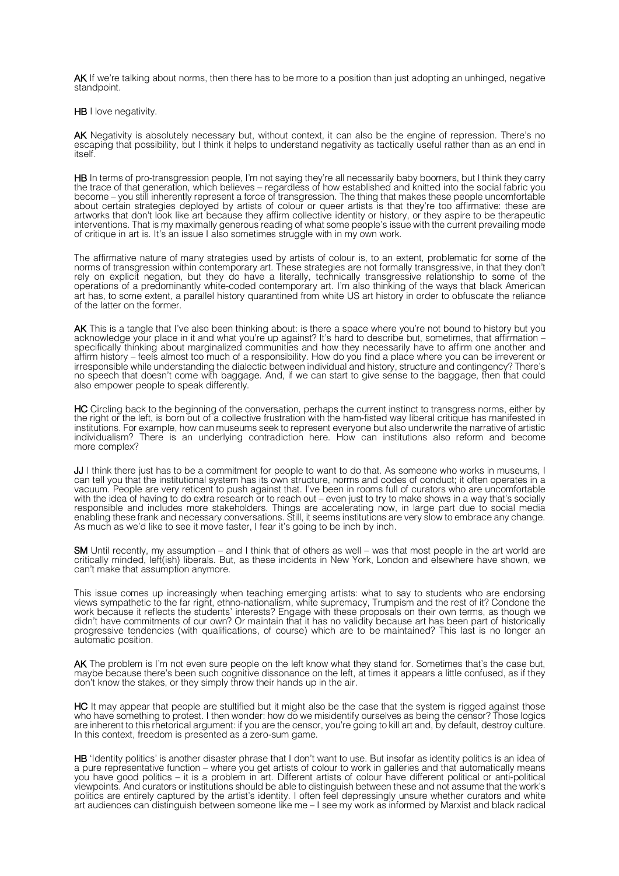AK If we're talking about norms, then there has to be more to a position than just adopting an unhinged, negative standpoint.

HB I love negativity.

AK Negativity is absolutely necessary but, without context, it can also be the engine of repression. There's no escaping that possibility, but I think it helps to understand negativity as tactically useful rather than as an end in itself.

**HB** In terms of pro-transgression people, I'm not saying they're all necessarily baby boomers, but I think they carry the trace of that generation, which believes – regardless of how established and knitted into the social fabric you become – you still inherently represent a force of transgression. The thing that makes these people uncomfortable about certain strategies deployed by artists of colour or queer artists is that they're too affirmative: these are artworks that don't look like art because they affirm collective identity or history, or they aspire to be therapeutic interventions. That is my maximally generous reading of what some people's issue with the current prevailing mode of critique in art is. It's an issue I also sometimes struggle with in my own work.

The affirmative nature of many strategies used by artists of colour is, to an extent, problematic for some of the norms of transgression within contemporary art. These strategies are not formally transgressive, in that they don't rely on explicit negation, but they do have a literally, technically transgressive relationship to some of the operations of a predominantly white-coded contemporary art. I'm also thinking of the ways that black American art has, to some extent, a parallel history quarantined from white US art history in order to obfuscate the reliance of the latter on the former.

AK This is a tangle that I've also been thinking about: is there a space where you're not bound to history but you<br>acknowledge your place in it and what you're up against? It's hard to describe but, sometimes, that affirma specifically thinking about marginalized communities and how they necessarily have to affirm one another and affirm history – feels almost too much of a responsibility. How do you find a place where you can be irreverent or irresponsible while understanding the dialectic between individual and history, structure and contingency? There's no speech that doesn't come with baggage. And, if we can start to give sense to the baggage, then that could also empower people to speak differently.

HC Circling back to the beginning of the conversation, perhaps the current instinct to transgress norms, either by the right or the left, is born out of a collective frustration with the ham-fisted way liberal critique has manifested in institutions. For example, how can museums seek to represent everyone but also underwrite the narrative of artistic individualism? There is an underlying contradiction here. How can institutions also reform and become more complex?

JJ I think there just has to be a commitment for people to want to do that. As someone who works in museums, I can tell you that the institutional system has its own structure, norms and codes of conduct; it often operates in a vacuum. People are very reticent to push against that. I've been in rooms full of curators who are uncomfortable with the idea of having to do extra research or to reach out – even just to try to make shows in a way that's socially responsible and includes more stakeholders. Things are accelerating now, in large part due to social media enabling these frank and necessary conversations. Still, it seems institutions are very slow to embrace any change. As much as we'd like to see it move faster, I fear it's going to be inch by inch.

SM Until recently, my assumption – and I think that of others as well – was that most people in the art world are critically minded, left(ish) liberals. But, as these incidents in New York, London and elsewhere have shown, we can't make that assumption anymore.

This issue comes up increasingly when teaching emerging artists: what to say to students who are endorsing views sympathetic to the far right, ethno-nationalism, white supremacy, Trumpism and the rest of it? Condone the work because it reflects the students' interests? Engage with these proposals on their own terms, as though we didn't have commitments of our own? Or maintain that it has no validity because art has been part of historically progressive tendencies (with qualifications, of course) which are to be maintained? This last is no longer an automatic position.

AK The problem is I'm not even sure people on the left know what they stand for. Sometimes that's the case but, maybe because there's been such cognitive dissonance on the left, at times it appears a little confused, as if they don't know the stakes, or they simply throw their hands up in the air.

HC It may appear that people are stultified but it might also be the case that the system is rigged against those who have something to protest. I then wonder: how do we misidentify ourselves as being the censor? Those logics are inherent to this rhetorical argument: if you are the censor, you're going to kill art and, by default, destroy culture. In this context, freedom is presented as a zero-sum game.

HB 'Identity politics' is another disaster phrase that I don't want to use. But insofar as identity politics is an idea of a pure representative function – where you get artists of colour to work in galleries and that automatically means you have good politics – it is a problem in art. Different artists of colour have different political or anti-political viewpoints. And curators or institutions should be able to distinguish between these and not assume that the work's politics are entirely captured by the artist's identity. I often feel depressingly unsure whether curators and white art audiences can distinguish between someone like me – I see my work as informed by Marxist and black radical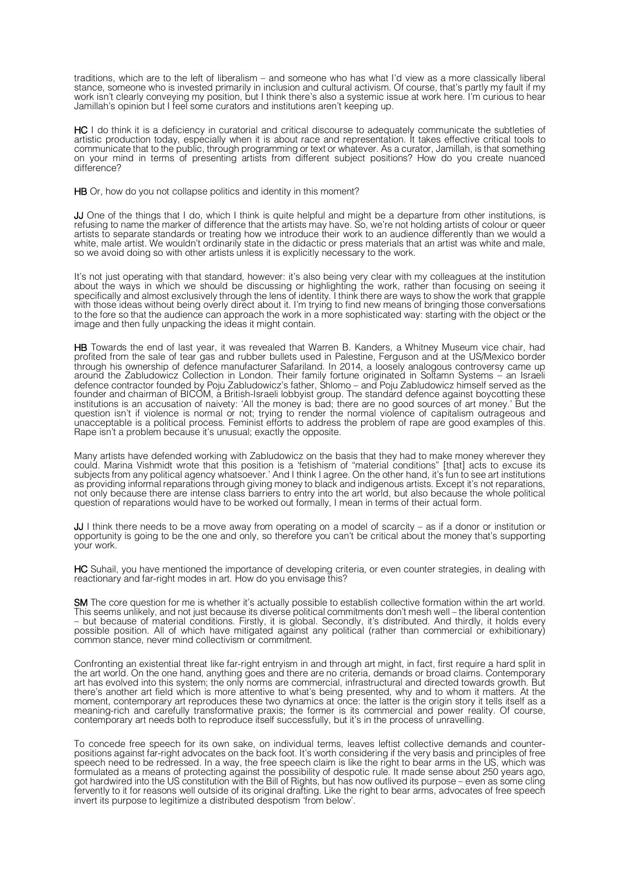traditions, which are to the left of liberalism – and someone who has what I'd view as a more classically liberal stance, someone who is invested primarily in inclusion and cultural activism. Of course, that's partly my fault if my work isn't clearly conveying my position, but I think there's also a systemic issue at work here. I'm curious to hear Jamillah's opinion but I feel some curators and institutions aren't keeping up.

HC I do think it is a deficiency in curatorial and critical discourse to adequately communicate the subtleties of artistic production today, especially when it is about race and representation. It takes effective critical tools to communicate that to the public, through programming or text or whatever. As a curator, Jamillah, is that something on your mind in terms of presenting artists from different subject positions? How do you create nuanced difference?

HB Or, how do you not collapse politics and identity in this moment?

JJ One of the things that I do, which I think is quite helpful and might be a departure from other institutions, is refusing to name the marker of difference that the artists may have. So, we're not holding artists of colour or queer artists to separate standards or treating how we introduce their work to an audience differently than we would a white, male artist. We wouldn't ordinarily state in the didactic or press materials that an artist was white and male, so we avoid doing so with other artists unless it is explicitly necessary to the work.

It's not just operating with that standard, however: it's also being very clear with my colleagues at the institution about the ways in which we should be discussing or highlighting the work, rather than focusing on seeing it specifically and almost exclusively through the lens of identity. I think there are ways to show the work that grapple with those ideas without being overly direct about it. I'm trying to find new means of bringing those conversations to the fore so that the audience can approach the work in a more sophisticated way: starting with the object or the image and then fully unpacking the ideas it might contain.

HB Towards the end of last year, it was revealed that Warren B. Kanders, a Whitney Museum vice chair, had profited from the sale of tear gas and rubber bullets used in Palestine, Ferguson and at the US/Mexico border through his ownership of defence manufacturer Safariland. In 2014, a loosely analogous controversy came up around the Zabludowicz Collection in London. Their family fortune originated in Soltamn Systems – an Israeli defence contractor founded by Poju Zabludowicz's father, Shlomo – and Poju Zabludowicz himself served as the founder and chairman of BICOM, a British-Israeli lobbyist group. The standard defence against boycotting these institutions is an accusation of naivety: 'All the money is bad; there are no good sources of art money.' But the question isn't if violence is normal or not; trying to render the normal violence of capitalism outrageous and unacceptable is a political process. Feminist efforts to address the problem of rape are good examples of this. Rape isn't a problem because it's unusual; exactly the opposite.

Many artists have defended working with Zabludowicz on the basis that they had to make money wherever they could. Marina Vishmidt wrote that this position is a 'fetishism of "material conditions" [that] acts to excuse its subjects from any political agency whatsoever.' And I think I agree. On the other hand, it's fun to see art institutions as providing informal reparations through giving money to black and indigenous artists. Except it's not reparations, not only because there are intense class barriers to entry into the art world, but also because the whole political question of reparations would have to be worked out formally, I mean in terms of their actual form.

JJ I think there needs to be a move away from operating on a model of scarcity – as if a donor or institution or opportunity is going to be the one and only, so therefore you can't be critical about the money that's supporting your work.

HC Suhail, you have mentioned the importance of developing criteria, or even counter strategies, in dealing with reactionary and far-right modes in art. How do you envisage this?

SM The core question for me is whether it's actually possible to establish collective formation within the art world. This seems unlikely, and not just because its diverse political commitments don't mesh well – the liberal contention – but because of material conditions. Firstly, it is global. Secondly, it's distributed. And thirdly, it holds every possible position. All of which have mitigated against any political (rather than commercial or exhibitionary) common stance, never mind collectivism or commitment.

Confronting an existential threat like far-right entryism in and through art might, in fact, first require a hard split in the art world. On the one hand, anything goes and there are no criteria, demands or broad claims. Contemporary art has evolved into this system; the only norms are commercial, infrastructural and directed towards growth. But there's another art field which is more attentive to what's being presented, why and to whom it matters. At the moment, contemporary art reproduces these two dynamics at once: the latter is the origin story it tells itself as a meaning-rich and carefully transformative praxis; the former is its commercial and power reality. Of course, contemporary art needs both to reproduce itself successfully, but it's in the process of unravelling.

To concede free speech for its own sake, on individual terms, leaves leftist collective demands and counter-<br>positions against far-right advocates on the back foot. It's worth considering if the very basis and principles o speech need to be redressed. In a way, the free speech claim is like the right to bear arms in the US, which was formulated as a means of protecting against the possibility of despotic rule. It made sense about 250 years ago, got hardwired into the US constitution with the Bill of Rights, but has now outlived its purpose – even as some cling fervently to it for reasons well outside of its original drafting. Like the right to bear arms, advocates of free speech invert its purpose to legitimize a distributed despotism 'from below'.